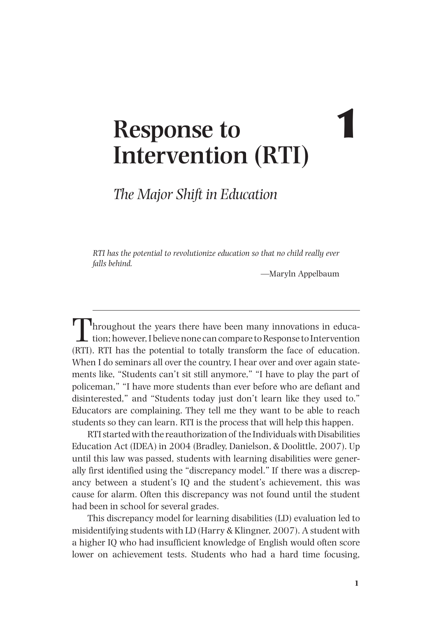# **Response to Intervention (RTI)**

*The Major Shift in Education*

*RTI has the potential to revolutionize education so that no child really ever falls behind.*

—Maryln Appelbaum

Throughout the years there have been many innovations in educa- $L$  tion: however, I believe none can compare to Response to Intervention (RTI). RTI has the potential to totally transform the face of education. When I do seminars all over the country, I hear over and over again statements like, "Students can't sit still anymore," "I have to play the part of policeman," "I have more students than ever before who are defiant and disinterested," and "Students today just don't learn like they used to." Educators are complaining. They tell me they want to be able to reach students so they can learn. RTI is the process that will help this happen.

RTI started with the reauthorization of the Individuals with Disabilities Education Act (IDEA) in 2004 (Bradley, Danielson, & Doolittle, 2007). Up until this law was passed, students with learning disabilities were generally first identified using the "discrepancy model." If there was a discrepancy between a student's IQ and the student's achievement, this was cause for alarm. Often this discrepancy was not found until the student had been in school for several grades.

This discrepancy model for learning disabilities (LD) evaluation led to misidentifying students with LD (Harry & Klingner, 2007). A student with a higher IQ who had insufficient knowledge of English would often score lower on achievement tests. Students who had a hard time focusing,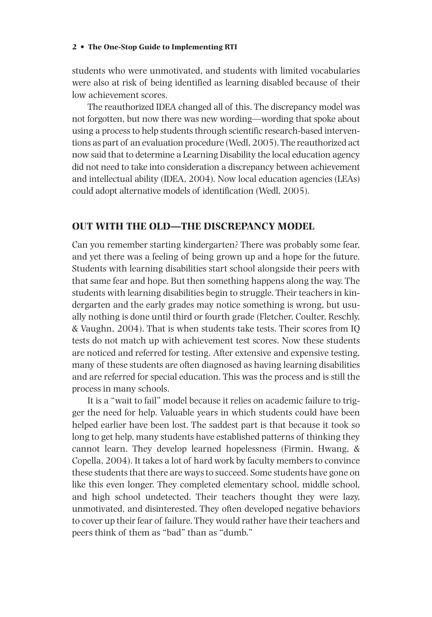students who were unmotivated, and students with limited vocabularies were also at risk of being identified as learning disabled because of their low achievement scores.

The reauthorized IDEA changed all of this. The discrepancy model was not forgotten, but now there was new wording—wording that spoke about using a process to help students through scientific research-based interventions as part of an evaluation procedure (Wedl, 2005). The reauthorized act now said that to determine a Learning Disability the local education agency did not need to take into consideration a discrepancy between achievement and intellectual ability (IDEA, 2004). Now local education agencies (LEAs) could adopt alternative models of identification (Wedl, 2005).

# **Out with the Old—The Discrepancy Model**

Can you remember starting kindergarten? There was probably some fear, and yet there was a feeling of being grown up and a hope for the future. Students with learning disabilities start school alongside their peers with that same fear and hope. But then something happens along the way. The students with learning disabilities begin to struggle. Their teachers in kindergarten and the early grades may notice something is wrong, but usually nothing is done until third or fourth grade (Fletcher, Coulter, Reschly, & Vaughn, 2004). That is when students take tests. Their scores from IQ tests do not match up with achievement test scores. Now these students are noticed and referred for testing. After extensive and expensive testing, many of these students are often diagnosed as having learning disabilities and are referred for special education. This was the process and is still the process in many schools.

It is a "wait to fail" model because it relies on academic failure to trigger the need for help. Valuable years in which students could have been helped earlier have been lost. The saddest part is that because it took so long to get help, many students have established patterns of thinking they cannot learn. They develop learned hopelessness (Firmin, Hwang, & Copella, 2004). It takes a lot of hard work by faculty members to convince these students that there are ways to succeed. Some students have gone on like this even longer. They completed elementary school, middle school, and high school undetected. Their teachers thought they were lazy, unmotivated, and disinterested. They often developed negative behaviors to cover up their fear of failure. They would rather have their teachers and peers think of them as "bad" than as "dumb."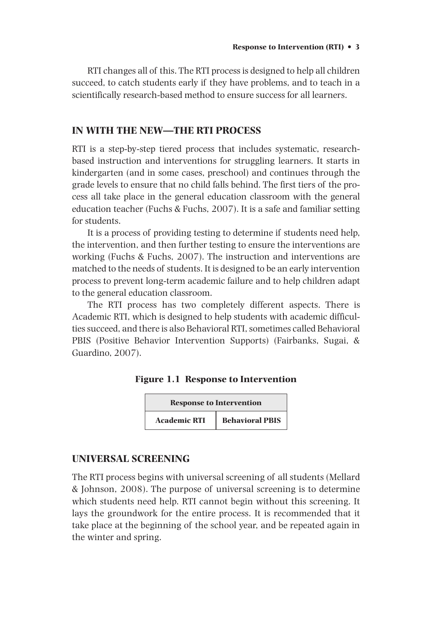RTI changes all of this. The RTI process is designed to help all children succeed, to catch students early if they have problems, and to teach in a scientifically research-based method to ensure success for all learners.

# **In with the New—The RTI Process**

RTI is a step-by-step tiered process that includes systematic, researchbased instruction and interventions for struggling learners. It starts in kindergarten (and in some cases, preschool) and continues through the grade levels to ensure that no child falls behind. The first tiers of the process all take place in the general education classroom with the general education teacher (Fuchs & Fuchs, 2007). It is a safe and familiar setting for students.

It is a process of providing testing to determine if students need help, the intervention, and then further testing to ensure the interventions are working (Fuchs & Fuchs, 2007). The instruction and interventions are matched to the needs of students. It is designed to be an early intervention process to prevent long-term academic failure and to help children adapt to the general education classroom.

The RTI process has two completely different aspects. There is Academic RTI, which is designed to help students with academic difficulties succeed, and there is also Behavioral RTI, sometimes called Behavioral PBIS (Positive Behavior Intervention Supports) (Fairbanks, Sugai, & Guardino, 2007).

**Figure 1.1 Response to Intervention**



## **Universal Screening**

The RTI process begins with universal screening of all students (Mellard & Johnson, 2008). The purpose of universal screening is to determine which students need help. RTI cannot begin without this screening. It lays the groundwork for the entire process. It is recommended that it take place at the beginning of the school year, and be repeated again in the winter and spring.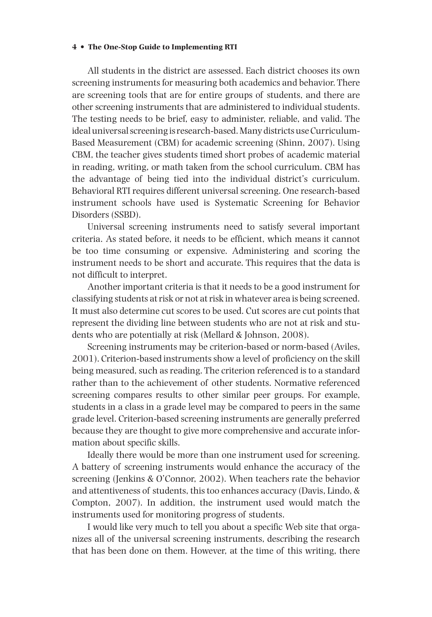All students in the district are assessed. Each district chooses its own screening instruments for measuring both academics and behavior. There are screening tools that are for entire groups of students, and there are other screening instruments that are administered to individual students. The testing needs to be brief, easy to administer, reliable, and valid. The ideal universal screening is research-based. Many districts use Curriculum-Based Measurement (CBM) for academic screening (Shinn, 2007). Using CBM, the teacher gives students timed short probes of academic material in reading, writing, or math taken from the school curriculum. CBM has the advantage of being tied into the individual district's curriculum. Behavioral RTI requires different universal screening. One research-based instrument schools have used is Systematic Screening for Behavior Disorders (SSBD).

Universal screening instruments need to satisfy several important criteria. As stated before, it needs to be efficient, which means it cannot be too time consuming or expensive. Administering and scoring the instrument needs to be short and accurate. This requires that the data is not difficult to interpret.

Another important criteria is that it needs to be a good instrument for classifying students at risk or not at risk in whatever area is being screened. It must also determine cut scores to be used. Cut scores are cut points that represent the dividing line between students who are not at risk and students who are potentially at risk (Mellard & Johnson, 2008).

Screening instruments may be criterion-based or norm-based (Aviles, 2001). Criterion-based instruments show a level of proficiency on the skill being measured, such as reading. The criterion referenced is to a standard rather than to the achievement of other students. Normative referenced screening compares results to other similar peer groups. For example, students in a class in a grade level may be compared to peers in the same grade level. Criterion-based screening instruments are generally preferred because they are thought to give more comprehensive and accurate information about specific skills.

Ideally there would be more than one instrument used for screening. A battery of screening instruments would enhance the accuracy of the screening (Jenkins & O'Connor, 2002). When teachers rate the behavior and attentiveness of students, this too enhances accuracy (Davis, Lindo, & Compton, 2007). In addition, the instrument used would match the instruments used for monitoring progress of students.

I would like very much to tell you about a specific Web site that organizes all of the universal screening instruments, describing the research that has been done on them. However, at the time of this writing, there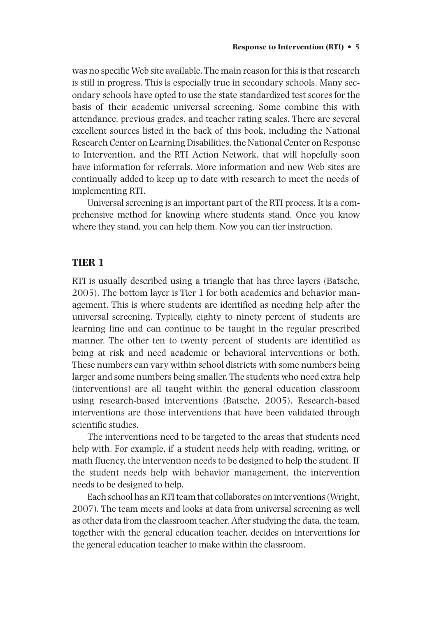was no specific Web site available. The main reason for this is that research is still in progress. This is especially true in secondary schools. Many secondary schools have opted to use the state standardized test scores for the basis of their academic universal screening. Some combine this with attendance, previous grades, and teacher rating scales. There are several excellent sources listed in the back of this book, including the National Research Center on Learning Disabilities, the National Center on Response to Intervention, and the RTI Action Network, that will hopefully soon have information for referrals. More information and new Web sites are continually added to keep up to date with research to meet the needs of implementing RTI.

Universal screening is an important part of the RTI process. It is a comprehensive method for knowing where students stand. Once you know where they stand, you can help them. Now you can tier instruction.

# **Tier 1**

RTI is usually described using a triangle that has three layers (Batsche, 2005). The bottom layer is Tier 1 for both academics and behavior management. This is where students are identified as needing help after the universal screening. Typically, eighty to ninety percent of students are learning fine and can continue to be taught in the regular prescribed manner. The other ten to twenty percent of students are identified as being at risk and need academic or behavioral interventions or both. These numbers can vary within school districts with some numbers being larger and some numbers being smaller. The students who need extra help (interventions) are all taught within the general education classroom using research-based interventions (Batsche, 2005). Research-based interventions are those interventions that have been validated through scientific studies.

The interventions need to be targeted to the areas that students need help with. For example, if a student needs help with reading, writing, or math fluency, the intervention needs to be designed to help the student. If the student needs help with behavior management, the intervention needs to be designed to help.

Each school has an RTI team that collaborates on interventions (Wright, 2007). The team meets and looks at data from universal screening as well as other data from the classroom teacher. After studying the data, the team, together with the general education teacher, decides on interventions for the general education teacher to make within the classroom.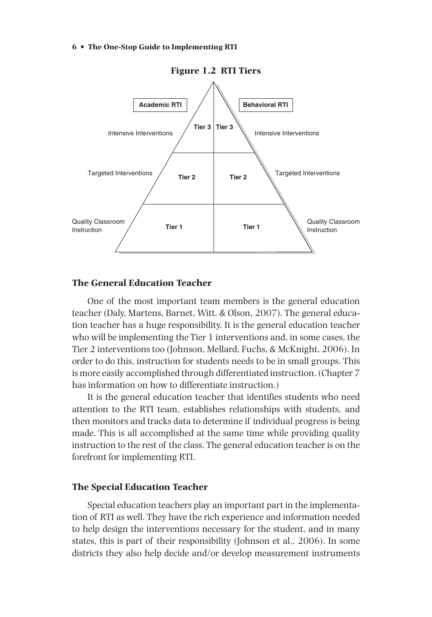

# **The General Education Teacher**

One of the most important team members is the general education teacher (Daly, Martens, Barnet, Witt, & Olson, 2007). The general education teacher has a huge responsibility. It is the general education teacher who will be implementing the Tier 1 interventions and, in some cases, the Tier 2 interventions too (Johnson, Mellard, Fuchs, & McKnight, 2006). In order to do this, instruction for students needs to be in small groups. This is more easily accomplished through differentiated instruction. (Chapter 7 has information on how to differentiate instruction.)

It is the general education teacher that identifies students who need attention to the RTI team, establishes relationships with students, and then monitors and tracks data to determine if individual progress is being made. This is all accomplished at the same time while providing quality instruction to the rest of the class. The general education teacher is on the forefront for implementing RTI.

#### **The Special Education Teacher**

Special education teachers play an important part in the implementation of RTI as well. They have the rich experience and information needed to help design the interventions necessary for the student, and in many states, this is part of their responsibility (Johnson et al., 2006). In some districts they also help decide and/or develop measurement instruments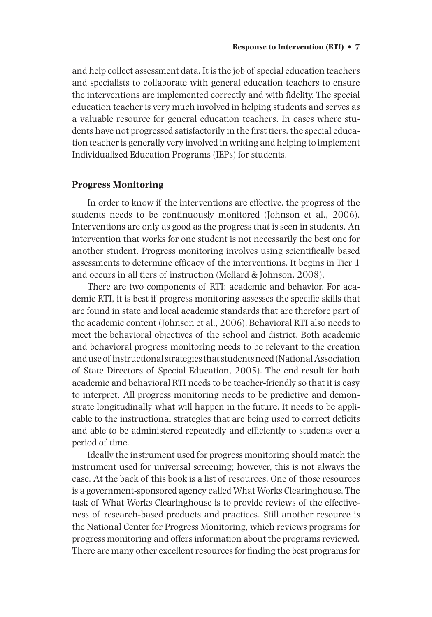and help collect assessment data. It is the job of special education teachers and specialists to collaborate with general education teachers to ensure the interventions are implemented correctly and with fidelity. The special education teacher is very much involved in helping students and serves as a valuable resource for general education teachers. In cases where students have not progressed satisfactorily in the first tiers, the special education teacher is generally very involved in writing and helping to implement Individualized Education Programs (IEPs) for students.

### **Progress Monitoring**

In order to know if the interventions are effective, the progress of the students needs to be continuously monitored (Johnson et al., 2006). Interventions are only as good as the progress that is seen in students. An intervention that works for one student is not necessarily the best one for another student. Progress monitoring involves using scientifically based assessments to determine efficacy of the interventions. It begins in Tier 1 and occurs in all tiers of instruction (Mellard & Johnson, 2008).

There are two components of RTI: academic and behavior. For academic RTI, it is best if progress monitoring assesses the specific skills that are found in state and local academic standards that are therefore part of the academic content (Johnson et al., 2006). Behavioral RTI also needs to meet the behavioral objectives of the school and district. Both academic and behavioral progress monitoring needs to be relevant to the creation and use of instructional strategies that students need (National Association of State Directors of Special Education, 2005). The end result for both academic and behavioral RTI needs to be teacher-friendly so that it is easy to interpret. All progress monitoring needs to be predictive and demonstrate longitudinally what will happen in the future. It needs to be applicable to the instructional strategies that are being used to correct deficits and able to be administered repeatedly and efficiently to students over a period of time.

Ideally the instrument used for progress monitoring should match the instrument used for universal screening; however, this is not always the case. At the back of this book is a list of resources. One of those resources is a government-sponsored agency called What Works Clearinghouse. The task of What Works Clearinghouse is to provide reviews of the effectiveness of research-based products and practices. Still another resource is the National Center for Progress Monitoring, which reviews programs for progress monitoring and offers information about the programs reviewed. There are many other excellent resources for finding the best programs for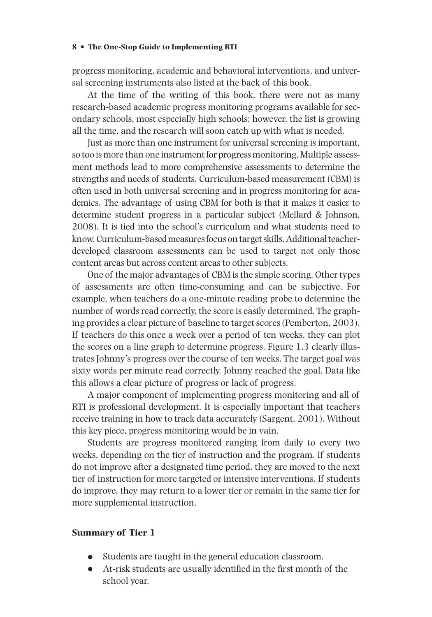progress monitoring, academic and behavioral interventions, and universal screening instruments also listed at the back of this book.

At the time of the writing of this book, there were not as many research-based academic progress monitoring programs available for secondary schools, most especially high schools; however, the list is growing all the time, and the research will soon catch up with what is needed.

Just as more than one instrument for universal screening is important, so too is more than one instrument for progress monitoring. Multiple assessment methods lead to more comprehensive assessments to determine the strengths and needs of students. Curriculum-based measurement (CBM) is often used in both universal screening and in progress monitoring for academics. The advantage of using CBM for both is that it makes it easier to determine student progress in a particular subject (Mellard & Johnson, 2008). It is tied into the school's curriculum and what students need to know. Curriculum-based measures focus on target skills. Additional teacherdeveloped classroom assessments can be used to target not only those content areas but across content areas to other subjects.

One of the major advantages of CBM is the simple scoring. Other types of assessments are often time-consuming and can be subjective. For example, when teachers do a one-minute reading probe to determine the number of words read correctly, the score is easily determined. The graphing provides a clear picture of baseline to target scores (Pemberton, 2003). If teachers do this once a week over a period of ten weeks, they can plot the scores on a line graph to determine progress. Figure 1.3 clearly illustrates Johnny's progress over the course of ten weeks. The target goal was sixty words per minute read correctly. Johnny reached the goal. Data like this allows a clear picture of progress or lack of progress.

A major component of implementing progress monitoring and all of RTI is professional development. It is especially important that teachers receive training in how to track data accurately (Sargent, 2001). Without this key piece, progress monitoring would be in vain.

Students are progress monitored ranging from daily to every two weeks, depending on the tier of instruction and the program. If students do not improve after a designated time period, they are moved to the next tier of instruction for more targeted or intensive interventions. If students do improve, they may return to a lower tier or remain in the same tier for more supplemental instruction.

## **Summary of Tier 1**

- Students are taught in the general education classroom.
- At-risk students are usually identified in the first month of the school year.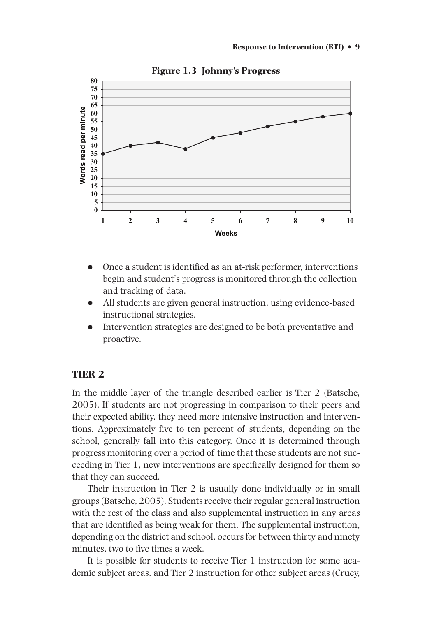

**Figure 1.3 Johnny's Progress Johnny**

- Once a student is identified as an at-risk performer, interventions begin and student's progress is monitored through the collection and tracking of data.
- All students are given general instruction, using evidence-based instructional strategies.
- Intervention strategies are designed to be both preventative and proactive.

## **Tier 2**

In the middle layer of the triangle described earlier is Tier 2 (Batsche, 2005). If students are not progressing in comparison to their peers and their expected ability, they need more intensive instruction and interventions. Approximately five to ten percent of students, depending on the school, generally fall into this category. Once it is determined through progress monitoring over a period of time that these students are not succeeding in Tier 1, new interventions are specifically designed for them so that they can succeed.

Their instruction in Tier 2 is usually done individually or in small groups (Batsche, 2005). Students receive their regular general instruction with the rest of the class and also supplemental instruction in any areas that are identified as being weak for them. The supplemental instruction, depending on the district and school, occurs for between thirty and ninety minutes, two to five times a week.

It is possible for students to receive Tier 1 instruction for some academic subject areas, and Tier 2 instruction for other subject areas (Cruey,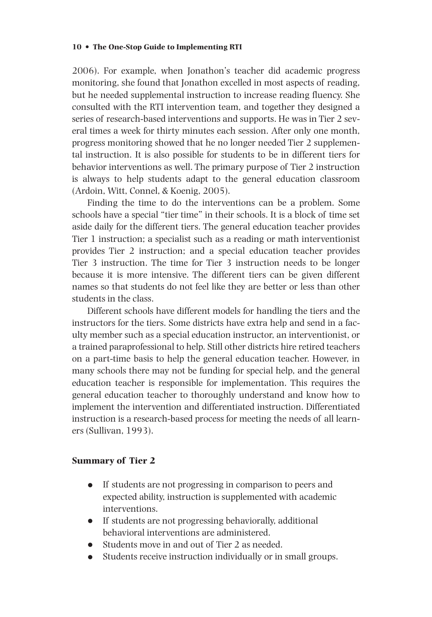2006). For example, when Jonathon's teacher did academic progress monitoring, she found that Jonathon excelled in most aspects of reading, but he needed supplemental instruction to increase reading fluency. She consulted with the RTI intervention team, and together they designed a series of research-based interventions and supports. He was in Tier 2 several times a week for thirty minutes each session. After only one month, progress monitoring showed that he no longer needed Tier 2 supplemental instruction. It is also possible for students to be in different tiers for behavior interventions as well. The primary purpose of Tier 2 instruction is always to help students adapt to the general education classroom (Ardoin, Witt, Connel, & Koenig, 2005).

Finding the time to do the interventions can be a problem. Some schools have a special "tier time" in their schools. It is a block of time set aside daily for the different tiers. The general education teacher provides Tier 1 instruction; a specialist such as a reading or math interventionist provides Tier 2 instruction; and a special education teacher provides Tier 3 instruction. The time for Tier 3 instruction needs to be longer because it is more intensive. The different tiers can be given different names so that students do not feel like they are better or less than other students in the class.

Different schools have different models for handling the tiers and the instructors for the tiers. Some districts have extra help and send in a faculty member such as a special education instructor, an interventionist, or a trained paraprofessional to help. Still other districts hire retired teachers on a part-time basis to help the general education teacher. However, in many schools there may not be funding for special help, and the general education teacher is responsible for implementation. This requires the general education teacher to thoroughly understand and know how to implement the intervention and differentiated instruction. Differentiated instruction is a research-based process for meeting the needs of all learners (Sullivan, 1993).

## **Summary of Tier 2**

- If students are not progressing in comparison to peers and expected ability, instruction is supplemented with academic interventions.
- If students are not progressing behaviorally, additional behavioral interventions are administered.
- Students move in and out of Tier 2 as needed.
- Students receive instruction individually or in small groups.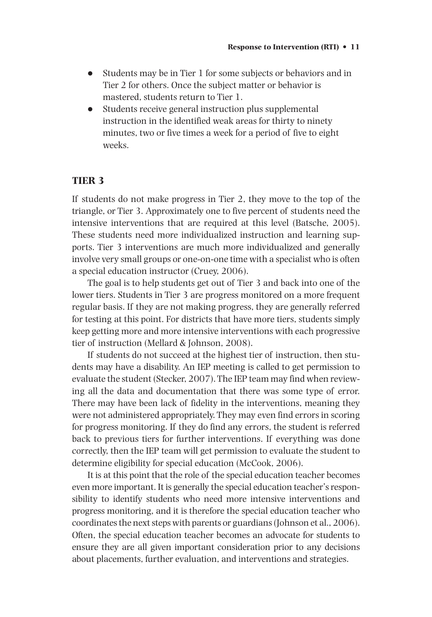- Students may be in Tier 1 for some subjects or behaviors and in Tier 2 for others. Once the subject matter or behavior is mastered, students return to Tier 1.
- Students receive general instruction plus supplemental instruction in the identified weak areas for thirty to ninety minutes, two or five times a week for a period of five to eight weeks.

# **Tier 3**

If students do not make progress in Tier 2, they move to the top of the triangle, or Tier 3. Approximately one to five percent of students need the intensive interventions that are required at this level (Batsche, 2005). These students need more individualized instruction and learning supports. Tier 3 interventions are much more individualized and generally involve very small groups or one-on-one time with a specialist who is often a special education instructor (Cruey, 2006).

The goal is to help students get out of Tier 3 and back into one of the lower tiers. Students in Tier 3 are progress monitored on a more frequent regular basis. If they are not making progress, they are generally referred for testing at this point. For districts that have more tiers, students simply keep getting more and more intensive interventions with each progressive tier of instruction (Mellard & Johnson, 2008).

If students do not succeed at the highest tier of instruction, then students may have a disability. An IEP meeting is called to get permission to evaluate the student (Stecker, 2007). The IEP team may find when reviewing all the data and documentation that there was some type of error. There may have been lack of fidelity in the interventions, meaning they were not administered appropriately. They may even find errors in scoring for progress monitoring. If they do find any errors, the student is referred back to previous tiers for further interventions. If everything was done correctly, then the IEP team will get permission to evaluate the student to determine eligibility for special education (McCook, 2006).

It is at this point that the role of the special education teacher becomes even more important. It is generally the special education teacher's responsibility to identify students who need more intensive interventions and progress monitoring, and it is therefore the special education teacher who coordinates the next steps with parents or guardians (Johnson et al., 2006). Often, the special education teacher becomes an advocate for students to ensure they are all given important consideration prior to any decisions about placements, further evaluation, and interventions and strategies.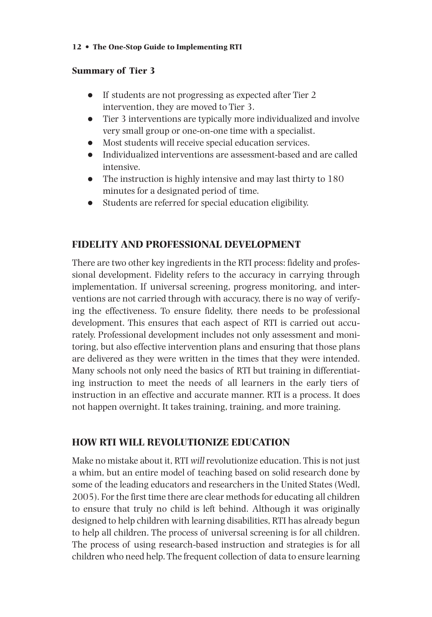## **Summary of Tier 3**

- If students are not progressing as expected after Tier 2 intervention, they are moved to Tier 3.
- Tier 3 interventions are typically more individualized and involve very small group or one-on-one time with a specialist.
- Most students will receive special education services.
- Individualized interventions are assessment-based and are called intensive.
- The instruction is highly intensive and may last thirty to 180 minutes for a designated period of time.
- Students are referred for special education eligibility.

# **Fidelity and Professional Development**

There are two other key ingredients in the RTI process: fidelity and professional development. Fidelity refers to the accuracy in carrying through implementation. If universal screening, progress monitoring, and interventions are not carried through with accuracy, there is no way of verifying the effectiveness. To ensure fidelity, there needs to be professional development. This ensures that each aspect of RTI is carried out accurately. Professional development includes not only assessment and monitoring, but also effective intervention plans and ensuring that those plans are delivered as they were written in the times that they were intended. Many schools not only need the basics of RTI but training in differentiating instruction to meet the needs of all learners in the early tiers of instruction in an effective and accurate manner. RTI is a process. It does not happen overnight. It takes training, training, and more training.

# **How RTI will Revolutionize Education**

Make no mistake about it, RTI *will* revolutionize education. This is not just a whim, but an entire model of teaching based on solid research done by some of the leading educators and researchers in the United States (Wedl, 2005). For the first time there are clear methods for educating all children to ensure that truly no child is left behind. Although it was originally designed to help children with learning disabilities, RTI has already begun to help all children. The process of universal screening is for all children. The process of using research-based instruction and strategies is for all children who need help. The frequent collection of data to ensure learning